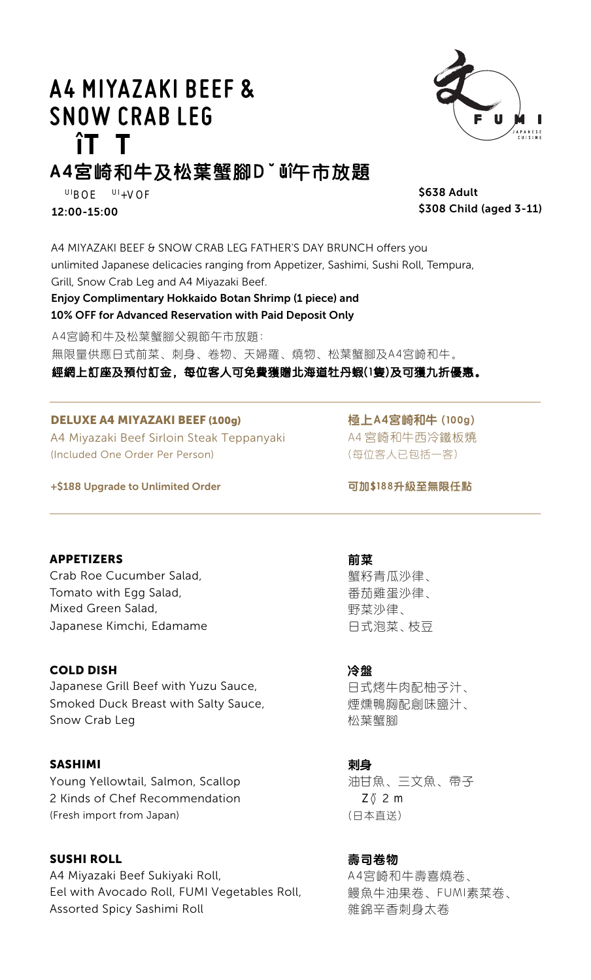# **A4 MIYAZAKI BEEF & SNOW CRAB LEG**



# **A4宮崎**和**牛**及**松葉蟹腳䓹鼡鑿**午市放**題**

\$638 Adult \$308 Child (aged 3-11)

12:00-15:00

A4 MIYAZAKI BEEF & SNOW CRAB LEG FATHER'S DAY BRUNCH offers you unlimited Japanese delicacies ranging from Appetizer, Sashimi, Sushi Roll, Tempura, Grill, Snow Crab Leg and A4 Miyazaki Beef.

# Enjoy Complimentary Hokkaido Botan Shrimp (1 piece) and 10% OFF for Advanced Reservation with Paid Deposit Only

**UIBOE UI+VOF000**

A4宮崎和牛及松葉蟹腳父親節午市放題:

無限量供應日式前菜、刺身、卷物、天婦羅、燒物、松葉蟹腳及A4宮崎和牛。

## 經網上訂座及預付訂金,每位客人可免費獲贈北海道牡丹蝦(1隻)及可獲九折優惠。

#### DELUXE A4 MIYAZAKI BEEF (100g)

A4 Miyazaki Beef Sirloin Steak Teppanyaki (Included One Order Per Person)

**極上A4宮崎和牛 (100g)** A4 宮崎和牛西冷鐵板燒 (每位客人已包括一客)

+\$188 Upgrade to Unlimited Order

APPETIZERS

Crab Roe Cucumber Salad, Tomato with Egg Salad, Mixed Green Salad, Japanese Kimchi, Edamame

#### COLD DISH

Japanese Grill Beef with Yuzu Sauce, Smoked Duck Breast with Salty Sauce, Snow Crab Leg

#### SASHIMI

Young Yellowtail, Salmon, Scallop 2 Kinds of Chef Recommendation (Fresh import from Japan)

#### SUSHI ROLL

A4 Miyazaki Beef Sukiyaki Roll, Eel with Avocado Roll, FUMI Vegetables Roll, Assorted Spicy Sashimi Roll

**可加\$188升級至無限任點**

**前菜** 蟹籽青瓜沙律、 番茄雞蛋沙律、 野菜沙律、

日式泡菜、枝豆

**冷盤**

日式烤牛肉配柚子汁、 煙燻鴨胸配創味鹽汁、 松葉蟹腳

**剌身**

油甘魚、三文魚、帶子 2 m (日本直送)

**壽司卷物**

A4宮崎和牛壽喜燒卷、 鰻魚牛油果卷、FUMI素菜卷、 雜錦辛香刺身太卷